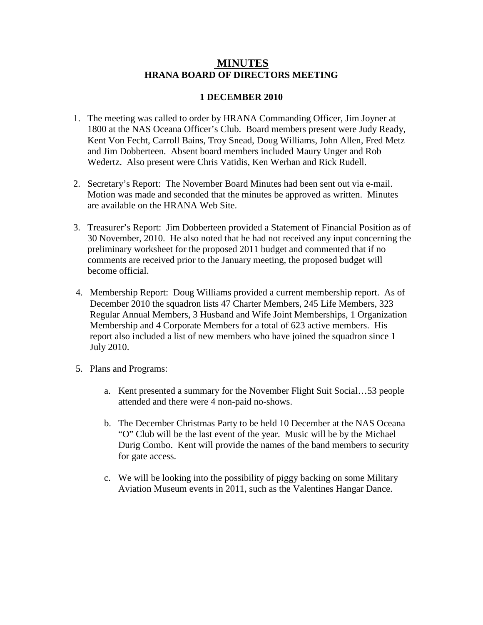## **MINUTES HRANA BOARD OF DIRECTORS MEETING**

## **1 DECEMBER 2010**

- 1. The meeting was called to order by HRANA Commanding Officer, Jim Joyner at 1800 at the NAS Oceana Officer's Club. Board members present were Judy Ready, Kent Von Fecht, Carroll Bains, Troy Snead, Doug Williams, John Allen, Fred Metz and Jim Dobberteen. Absent board members included Maury Unger and Rob Wedertz. Also present were Chris Vatidis, Ken Werhan and Rick Rudell.
- 2. Secretary's Report: The November Board Minutes had been sent out via e-mail. Motion was made and seconded that the minutes be approved as written. Minutes are available on the HRANA Web Site.
- 3. Treasurer's Report: Jim Dobberteen provided a Statement of Financial Position as of 30 November, 2010. He also noted that he had not received any input concerning the preliminary worksheet for the proposed 2011 budget and commented that if no comments are received prior to the January meeting, the proposed budget will become official.
- 4. Membership Report: Doug Williams provided a current membership report. As of December 2010 the squadron lists 47 Charter Members, 245 Life Members, 323 Regular Annual Members, 3 Husband and Wife Joint Memberships, 1 Organization Membership and 4 Corporate Members for a total of 623 active members. His report also included a list of new members who have joined the squadron since 1 July 2010.
- 5. Plans and Programs:
	- a. Kent presented a summary for the November Flight Suit Social…53 people attended and there were 4 non-paid no-shows.
	- b. The December Christmas Party to be held 10 December at the NAS Oceana "O" Club will be the last event of the year. Music will be by the Michael Durig Combo. Kent will provide the names of the band members to security for gate access.
	- c. We will be looking into the possibility of piggy backing on some Military Aviation Museum events in 2011, such as the Valentines Hangar Dance.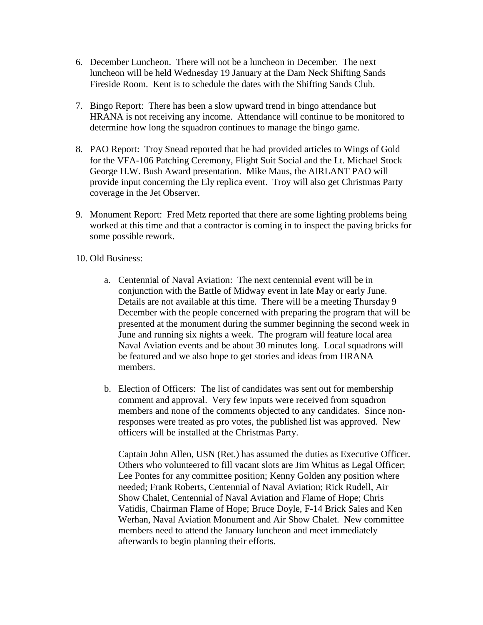- 6. December Luncheon. There will not be a luncheon in December. The next luncheon will be held Wednesday 19 January at the Dam Neck Shifting Sands Fireside Room. Kent is to schedule the dates with the Shifting Sands Club.
- 7. Bingo Report: There has been a slow upward trend in bingo attendance but HRANA is not receiving any income. Attendance will continue to be monitored to determine how long the squadron continues to manage the bingo game.
- 8. PAO Report: Troy Snead reported that he had provided articles to Wings of Gold for the VFA-106 Patching Ceremony, Flight Suit Social and the Lt. Michael Stock George H.W. Bush Award presentation. Mike Maus, the AIRLANT PAO will provide input concerning the Ely replica event. Troy will also get Christmas Party coverage in the Jet Observer.
- 9. Monument Report: Fred Metz reported that there are some lighting problems being worked at this time and that a contractor is coming in to inspect the paving bricks for some possible rework.
- 10. Old Business:
	- a. Centennial of Naval Aviation: The next centennial event will be in conjunction with the Battle of Midway event in late May or early June. Details are not available at this time. There will be a meeting Thursday 9 December with the people concerned with preparing the program that will be presented at the monument during the summer beginning the second week in June and running six nights a week. The program will feature local area Naval Aviation events and be about 30 minutes long. Local squadrons will be featured and we also hope to get stories and ideas from HRANA members.
	- b. Election of Officers: The list of candidates was sent out for membership comment and approval. Very few inputs were received from squadron members and none of the comments objected to any candidates. Since nonresponses were treated as pro votes, the published list was approved. New officers will be installed at the Christmas Party.

Captain John Allen, USN (Ret.) has assumed the duties as Executive Officer. Others who volunteered to fill vacant slots are Jim Whitus as Legal Officer; Lee Pontes for any committee position; Kenny Golden any position where needed; Frank Roberts, Centennial of Naval Aviation; Rick Rudell, Air Show Chalet, Centennial of Naval Aviation and Flame of Hope; Chris Vatidis, Chairman Flame of Hope; Bruce Doyle, F-14 Brick Sales and Ken Werhan, Naval Aviation Monument and Air Show Chalet. New committee members need to attend the January luncheon and meet immediately afterwards to begin planning their efforts.